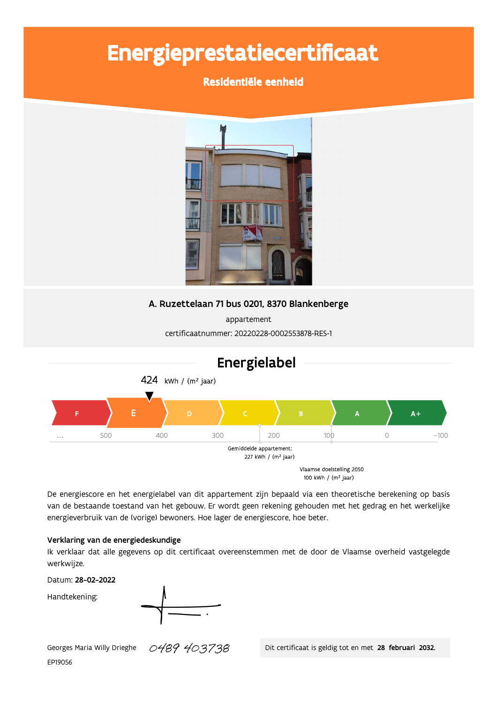# Energieprestatiecertificaat

### Residentiële eenheid



### A. Ruzettelaan 71 bus 0201, 8370 Blankenberge

appartement certificaatnummer: 20220228-0002553878-RES-1



De energiescore en het energielabel van dit appartement zijn bepaald via een theoretische berekening op basis van de bestaande toestand van het gebouw. Er wordt geen rekening gehouden met het gedrag en het werkelijke energieverbruik van de (vorige) bewoners. Hoe lager de energiescore, hoe beter.

### Verklaring van de energiedeskundige

Ik verklaar dat alle gegevens op dit certificaat overeenstemmen met de door de Vlaamse overheid vastgelegde werkwijze.

Datum: 28-02-2022

Handtekening:



0489 403738 Georges Maria Willy Drieghe EP19056

Dit certificaat is geldig tot en met 28 februari 2032.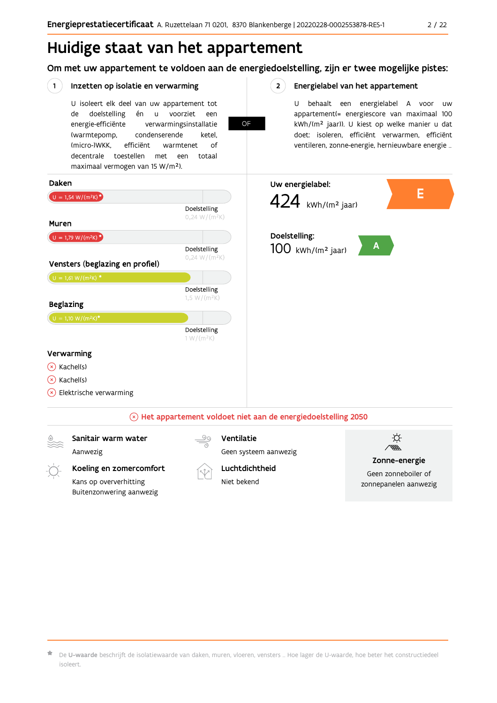# Huidige staat van het appartement

Buitenzonwering aanwezig

Om met uw appartement te voldoen aan de energiedoelstelling, zijn er twee mogelijke pistes:

#### $(1)$ Inzetten op isolatie en verwarming  $2^{\circ}$ Energielabel van het appartement U isoleert elk deel van uw appartement tot U behaalt een energielabel A voor  $\overline{U}$ doelstelling voorziet appartement(= energiescore van maximaal 100 de én  $\mathsf{u}$ een **OF** energie-efficiënte verwarmingsinstallatie kWh/(m<sup>2</sup> jaar)). U kiest op welke manier u dat doet: isoleren, efficiënt verwarmen, efficiënt (warmtepomp, condenserende ketel, (micro-)WKK. efficiënt ventileren, zonne-energie, hernieuwbare energie ... warmtenet  $\bigcap_{ }$ decentrale toestellen met een totaal maximaal vermogen van 15 W/m<sup>2</sup>). Daken Uw energielabel: Е 424 kWh/(m<sup>2</sup> jaar)  $U = 1,54 W/(m^2K)^{\star}$ Doelstelling  $0,24 W/(m^2K)$ Muren Doelstelling:  $U = 1,79 W/(m^2K)^*$  $\mathbf{A}$ Doelstelling  $100$  kWh/(m<sup>2</sup> jaar)  $0,24 W/(m^2K)$ Vensters (beglazing en profiel)  $U = 1,61 W/(m^2K)$  \* Doelstelling  $1,5 W/(m^2K)$ **Beglazing** Doelstelling  $1 W/(m^2K)$ Verwarming  $(x)$  Kachel(s)  $(x)$  Kachel(s)  $\rightarrow$  Elektrische verwarming  $\Im$  Het appartement voldoet niet aan de energiedoelstelling 2050 Sanitair warm water Ventilatie ¤ Aanwezig Geen systeem aanwezig Zonne-energie Koeling en zomercomfort Luchtdichtheid Geen zonneboiler of Niet bekend Kans op oververhitting zonnepanelen aanwezig

De U-waarde beschrijft de isolatiewaarde van daken, muren, vloeren, vensters ... Hoe lager de U-waarde, hoe beter het constructiedeel isoleert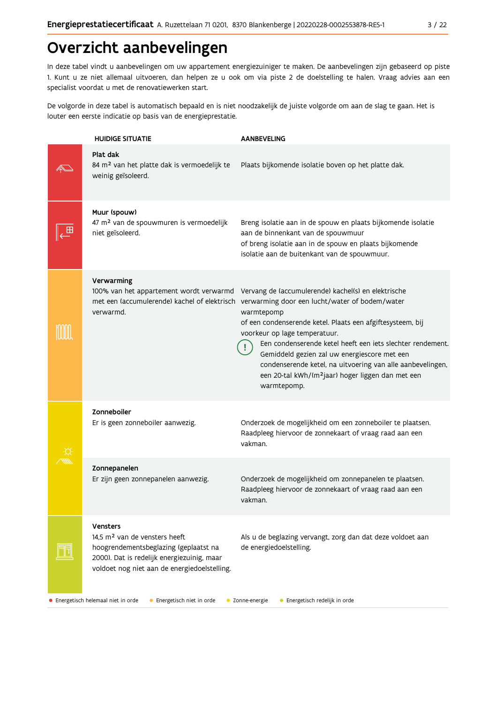# Overzicht aanbevelingen

In deze tabel vindt u aanbevelingen om uw appartement energiezuiniger te maken. De aanbevelingen zijn gebaseerd op piste 1. Kunt u ze niet allemaal uitvoeren, dan helpen ze u ook om via piste 2 de doelstelling te halen. Vraag advies aan een specialist voordat u met de renovatiewerken start.

De volgorde in deze tabel is automatisch bepaald en is niet noodzakelijk de juiste volgorde om aan de slag te gaan. Het is louter een eerste indicatie op basis van de energieprestatie.

| <b>HUIDIGE SITUATIE</b>                                                                                                                                                                             | <b>AANBEVELING</b>                                                                                                                                                                                                                                                                                                                                                                                                                                                                                                                                                  |
|-----------------------------------------------------------------------------------------------------------------------------------------------------------------------------------------------------|---------------------------------------------------------------------------------------------------------------------------------------------------------------------------------------------------------------------------------------------------------------------------------------------------------------------------------------------------------------------------------------------------------------------------------------------------------------------------------------------------------------------------------------------------------------------|
| Plat dak<br>84 m <sup>2</sup> van het platte dak is vermoedelijk te<br>weinig geïsoleerd.                                                                                                           | Plaats bijkomende isolatie boven op het platte dak.                                                                                                                                                                                                                                                                                                                                                                                                                                                                                                                 |
| Muur (spouw)<br>47 m <sup>2</sup> van de spouwmuren is vermoedelijk<br>niet geïsoleerd.                                                                                                             | Breng isolatie aan in de spouw en plaats bijkomende isolatie<br>aan de binnenkant van de spouwmuur<br>of breng isolatie aan in de spouw en plaats bijkomende<br>isolatie aan de buitenkant van de spouwmuur.                                                                                                                                                                                                                                                                                                                                                        |
| Verwarming<br>verwarmd.                                                                                                                                                                             | 100% van het appartement wordt verwarmd Vervang de (accumulerende) kachel(s) en elektrische<br>met een (accumulerende) kachel of elektrisch verwarming door een lucht/water of bodem/water<br>warmtepomp<br>of een condenserende ketel. Plaats een afgiftesysteem, bij<br>voorkeur op lage temperatuur.<br>Een condenserende ketel heeft een iets slechter rendement.<br>Gemiddeld gezien zal uw energiescore met een<br>condenserende ketel, na uitvoering van alle aanbevelingen,<br>een 20-tal kWh/(m <sup>2</sup> jaar) hoger liggen dan met een<br>warmtepomp. |
| Zonneboiler<br>Er is geen zonneboiler aanwezig.                                                                                                                                                     | Onderzoek de mogelijkheid om een zonneboiler te plaatsen.<br>Raadpleeg hiervoor de zonnekaart of vraag raad aan een<br>vakman.                                                                                                                                                                                                                                                                                                                                                                                                                                      |
| Zonnepanelen<br>Er zijn geen zonnepanelen aanwezig.                                                                                                                                                 | Onderzoek de mogelijkheid om zonnepanelen te plaatsen.<br>Raadpleeg hiervoor de zonnekaart of vraag raad aan een<br>vakman.                                                                                                                                                                                                                                                                                                                                                                                                                                         |
| <b>Vensters</b><br>14.5 m <sup>2</sup> van de vensters heeft<br>hoogrendementsbeglazing (geplaatst na<br>2000). Dat is redelijk energiezuinig, maar<br>voldoet nog niet aan de energiedoelstelling. | Als u de beglazing vervangt, zorg dan dat deze voldoet aan<br>de energiedoelstelling.                                                                                                                                                                                                                                                                                                                                                                                                                                                                               |

• Energetisch helemaal niet in orde

**C** Energetisch niet in orde

C Zonne-energie

• Energetisch redelijk in orde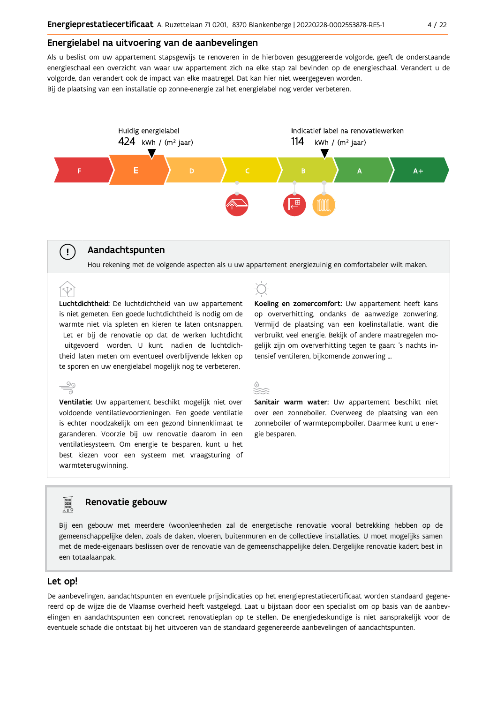#### Energielabel na uitvoering van de aanbevelingen

Als u beslist om uw appartement stapsgewijs te renoveren in de hierboven gesuggereerde volgorde, geeft de onderstaande energieschaal een overzicht van waar uw appartement zich na elke stap zal bevinden op de energieschaal. Verandert u de volgorde, dan verandert ook de impact van elke maatregel. Dat kan hier niet weergegeven worden. Bij de plaatsing van een installatie op zonne-energie zal het energielabel nog verder verbeteren.



### Aandachtspunten

 $\left(\cdot\right)$ 

Hou rekening met de volgende aspecten als u uw appartement energiezuinig en comfortabeler wilt maken.

Luchtdichtheid: De luchtdichtheid van uw appartement is niet gemeten. Een goede luchtdichtheid is nodig om de warmte niet via spleten en kieren te laten ontsnappen. Let er bij de renovatie op dat de werken luchtdicht uitgevoerd worden. U kunt nadien de luchtdichtheid laten meten om eventueel overblijvende lekken op te sporen en uw energielabel mogelijk nog te verbeteren.

 $\stackrel{\circ}{\equiv}$ Ventilatie: Uw appartement beschikt mogelijk niet over voldoende ventilatievoorzieningen. Een goede ventilatie is echter noodzakelijk om een gezond binnenklimaat te garanderen. Voorzie bij uw renovatie daarom in een ventilatiesysteem. Om energie te besparen, kunt u het best kiezen voor een systeem met vraagsturing of warmteterugwinning.



Koeling en zomercomfort: Uw appartement heeft kans op oververhitting, ondanks de aanwezige zonwering. Vermijd de plaatsing van een koelinstallatie, want die verbruikt veel energie. Bekijk of andere maatregelen mogelijk zijn om oververhitting tegen te gaan: 's nachts intensief ventileren, bijkomende zonwering ...



Sanitair warm water: Uw appartement beschikt niet over een zonneboiler. Overweeg de plaatsing van een zonneboiler of warmtepompboiler. Daarmee kunt u energie besparen.

### Renovatie gebouw

Bij een gebouw met meerdere (woon)eenheden zal de energetische renovatie vooral betrekking hebben op de gemeenschappelijke delen, zoals de daken, vloeren, buitenmuren en de collectieve installaties. U moet mogelijks samen met de mede-eigenaars beslissen over de renovatie van de gemeenschappelijke delen. Dergelijke renovatie kadert best in een totaalaanpak.

### Let op!

**FOR** 

De aanbevelingen, aandachtspunten en eventuele prijsindicaties op het energieprestatiecertificaat worden standaard gegenereerd op de wijze die de Vlaamse overheid heeft vastgelegd. Laat u bijstaan door een specialist om op basis van de aanbevelingen en aandachtspunten een concreet renovatieplan op te stellen. De energiedeskundige is niet aansprakelijk voor de eventuele schade die ontstaat bij het uitvoeren van de standaard gegenereerde aanbevelingen of aandachtspunten.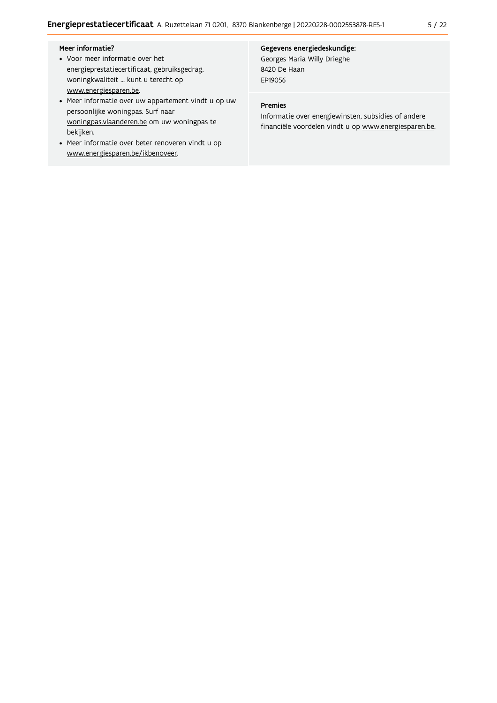### Meer informatie?

- Voor meer informatie over het energieprestatiecertificaat, gebruiksgedrag, woningkwaliteit ... kunt u terecht op www.energiesparen.be.
- Meer informatie over uw appartement vindt u op uw persoonlijke woningpas. Surf naar woningpas.vlaanderen.be om uw woningpas te bekijken.
- Meer informatie over beter renoveren vindt u op www.energiesparen.be/ikbenoveer.

### Gegevens energiedeskundige:

Georges Maria Willy Drieghe 8420 De Haan EP19056

### Premies

Informatie over energiewinsten, subsidies of andere financiële voordelen vindt u op www.energiesparen.be.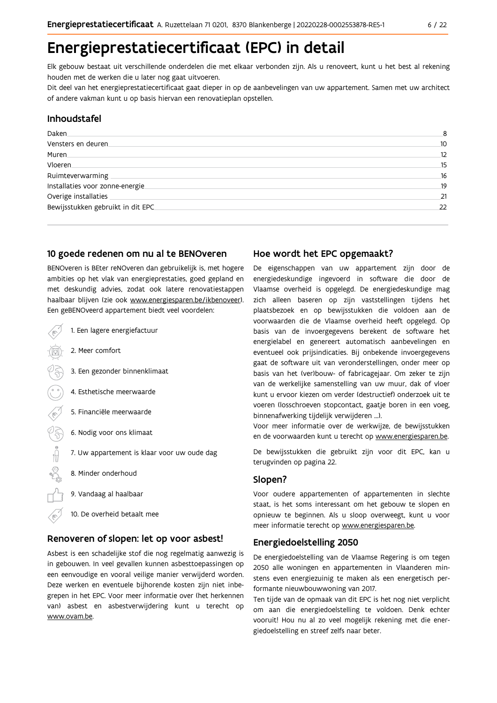## Energieprestatiecertificaat (EPC) in detail

Elk gebouw bestaat uit verschillende onderdelen die met elkaar verbonden zijn. Als u renoveert, kunt u het best al rekening houden met de werken die u later nog gaat uitvoeren.

Dit deel van het energieprestatiecertificaat gaat dieper in op de aanbevelingen van uw appartement. Samen met uw architect of andere vakman kunt u op basis hiervan een renovatieplan opstellen.

### Inhoudstafel

| Daken.                             | 8  |
|------------------------------------|----|
| Vensters en deuren.                | 10 |
| Muren.                             | 12 |
| Vloeren                            | 15 |
| Ruimteverwarming                   | 16 |
| Installaties voor zonne-energie.   | 19 |
| Overige installaties               | 21 |
| Bewijsstukken gebruikt in dit EPC. | 22 |
|                                    |    |

### 10 goede redenen om nu al te BENOveren

BENOveren is BEter reNOveren dan gebruikelijk is, met hogere ambities op het vlak van energieprestaties, goed gepland en met deskundig advies, zodat ook latere renovatiestappen haalbaar blijven (zie ook www.energiesparen.be/ikbenoveer). Fen geBFNOveerd annartement hiedt veel voordelen:

| 1. Een lagere energiefactuur                |
|---------------------------------------------|
| 2. Meer comfort                             |
| 3. Een gezonder binnenklimaat               |
| 4. Esthetische meerwaarde                   |
| 5. Financiële meerwaarde                    |
| 6. Nodig voor ons klimaat                   |
| 7. Uw appartement is klaar voor uw oude dag |
| 8. Minder onderhoud                         |
| 9. Vandaag al haalbaar                      |
| 10. De overheid betaalt mee                 |

### Renoveren of slopen: let op voor asbest!

Asbest is een schadelijke stof die nog regelmatig aanwezig is in gebouwen. In veel gevallen kunnen asbesttoepassingen op een eenvoudige en vooral veilige manier verwijderd worden. Deze werken en eventuele bijhorende kosten zijn niet inbegrepen in het EPC. Voor meer informatie over (het herkennen van) asbest en asbestverwijdering kunt u terecht op www.ovam.be.

### Hoe wordt het EPC opgemaakt?

De eigenschappen van uw appartement zijn door de energiedeskundige ingevoerd in software die door de Vlaamse overheid is opgelegd. De energiedeskundige mag zich alleen baseren op zijn vaststellingen tijdens het plaatsbezoek en op bewijsstukken die voldoen aan de voorwaarden die de Vlaamse overheid heeft opgelegd. Op basis van de invoergegevens berekent de software het energielabel en genereert automatisch aanbevelingen en eventueel ook prijsindicaties. Bij onbekende invoergegevens gaat de software uit van veronderstellingen, onder meer op basis van het (ver)bouw- of fabricagejaar. Om zeker te zijn van de werkelijke samenstelling van uw muur, dak of vloer kunt u ervoor kiezen om verder (destructief) onderzoek uit te voeren (losschroeven stopcontact, gaatje boren in een voeg, binnenafwerking tijdelijk verwijderen ...).

Voor meer informatie over de werkwijze, de bewijsstukken en de voorwaarden kunt u terecht op www.energiesparen.be.

De bewijsstukken die gebruikt zijn voor dit EPC, kan u terugvinden op pagina 22.

### Slopen?

Voor oudere appartementen of appartementen in slechte staat, is het soms interessant om het gebouw te slopen en opnieuw te beginnen. Als u sloop overweegt, kunt u voor meer informatie terecht op www.energiesparen.be.

### **Energiedoelstelling 2050**

De energiedoelstelling van de Vlaamse Regering is om tegen 2050 alle woningen en appartementen in Vlaanderen minstens even energiezuinig te maken als een energetisch performante nieuwbouwwoning van 2017.

Ten tijde van de opmaak van dit EPC is het nog niet verplicht om aan die energiedoelstelling te voldoen. Denk echter vooruit! Hou nu al zo veel mogelijk rekening met die energiedoelstelling en streef zelfs naar beter.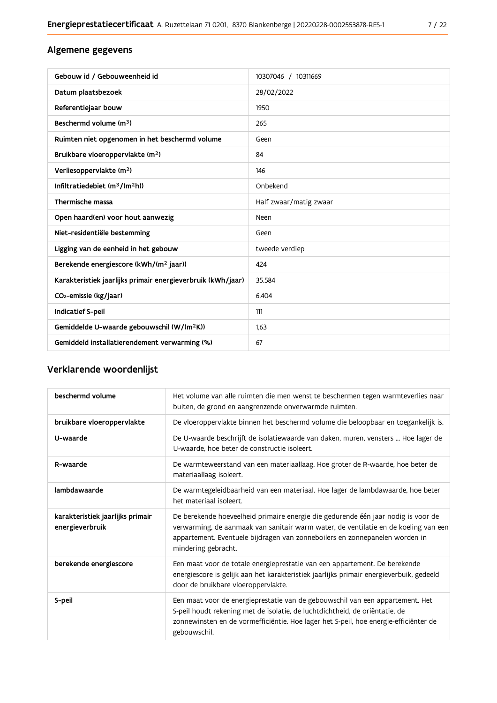| Gebouw id / Gebouweenheid id                                | 10307046 / 10311669    |
|-------------------------------------------------------------|------------------------|
| Datum plaatsbezoek                                          | 28/02/2022             |
| Referentiejaar bouw                                         | 1950                   |
| Beschermd volume (m <sup>3</sup> )                          | 265                    |
| Ruimten niet opgenomen in het beschermd volume              | Geen                   |
| Bruikbare vloeroppervlakte (m <sup>2</sup> )                | 84                     |
| Verliesoppervlakte (m <sup>2</sup> )                        | 146                    |
| Infiltratiedebiet (m <sup>3</sup> /(m <sup>2</sup> h))      | Onbekend               |
| Thermische massa                                            | Half zwaar/matig zwaar |
| Open haard(en) voor hout aanwezig                           | Neen                   |
| Niet-residentiële bestemming                                | Geen                   |
| Ligging van de eenheid in het gebouw                        | tweede verdiep         |
| Berekende energiescore (kWh/(m <sup>2</sup> jaar))          | 424                    |
| Karakteristiek jaarlijks primair energieverbruik (kWh/jaar) | 35.584                 |
| CO <sub>2</sub> -emissie (kg/jaar)                          | 6.404                  |
| Indicatief S-peil                                           | 111                    |
| Gemiddelde U-waarde gebouwschil (W/(m <sup>2</sup> K))      | 1.63                   |
| Gemiddeld installatierendement verwarming (%)               | 67                     |

### Verklarende woordenlijst

| beschermd volume                                    | Het volume van alle ruimten die men wenst te beschermen tegen warmteverlies naar<br>buiten, de grond en aangrenzende onverwarmde ruimten.                                                                                                                                      |
|-----------------------------------------------------|--------------------------------------------------------------------------------------------------------------------------------------------------------------------------------------------------------------------------------------------------------------------------------|
| bruikbare vloeroppervlakte                          | De vloeroppervlakte binnen het beschermd volume die beloopbaar en toegankelijk is.                                                                                                                                                                                             |
| U-waarde                                            | De U-waarde beschrijft de isolatiewaarde van daken, muren, vensters  Hoe lager de<br>U-waarde, hoe beter de constructie isoleert.                                                                                                                                              |
| R-waarde                                            | De warmteweerstand van een materiaallaag. Hoe groter de R-waarde, hoe beter de<br>materiaallaag isoleert.                                                                                                                                                                      |
| lambdawaarde                                        | De warmtegeleidbaarheid van een materiaal. Hoe lager de lambdawaarde, hoe beter<br>het materiaal isoleert.                                                                                                                                                                     |
| karakteristiek jaarlijks primair<br>energieverbruik | De berekende hoeveelheid primaire energie die gedurende één jaar nodig is voor de<br>verwarming, de aanmaak van sanitair warm water, de ventilatie en de koeling van een<br>appartement. Eventuele bijdragen van zonneboilers en zonnepanelen worden in<br>mindering gebracht. |
| berekende energiescore                              | Een maat voor de totale energieprestatie van een appartement. De berekende<br>energiescore is gelijk aan het karakteristiek jaarlijks primair energieverbuik, gedeeld<br>door de bruikbare vloeroppervlakte.                                                                   |
| S-peil                                              | Een maat voor de energieprestatie van de gebouwschil van een appartement. Het<br>S-peil houdt rekening met de isolatie, de luchtdichtheid, de oriëntatie, de<br>zonnewinsten en de vormefficiëntie. Hoe lager het S-peil, hoe energie-efficiënter de<br>gebouwschil.           |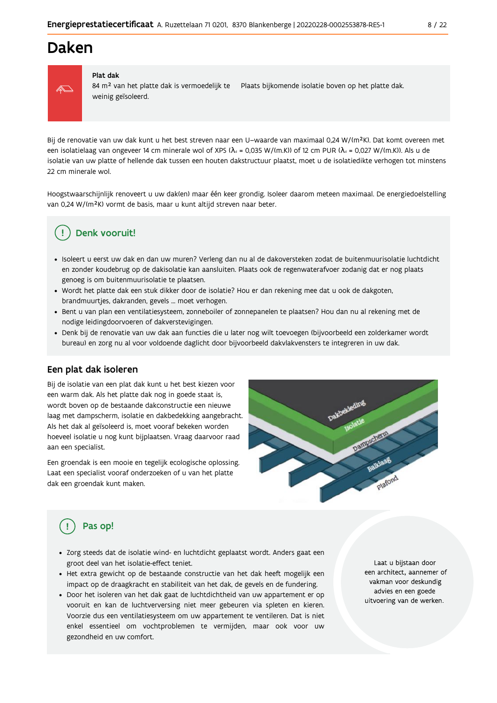### Daken



#### Plat dak

84 m<sup>2</sup> van het platte dak is vermoedelijk te Plaats bijkomende isolatie boven op het platte dak. weinig geïsoleerd.

Bij de renovatie van uw dak kunt u het best streven naar een U-waarde van maximaal 0,24 W/(m<sup>2</sup>K). Dat komt overeen met een isolatielaag van ongeveer 14 cm minerale wol of XPS ( $\lambda_a$  = 0,035 W/(m.K)) of 12 cm PUR ( $\lambda_a$  = 0,027 W/(m.K)). Als u de isolatie van uw platte of hellende dak tussen een houten dakstructuur plaatst, moet u de isolatiedikte verhogen tot minstens 22 cm minerale wol.

Hoogstwaarschijnlijk renoveert u uw daklen) maar één keer grondig. Isoleer daarom meteen maximaal. De energiedoelstelling van 0,24 W/(m<sup>2</sup>K) vormt de basis, maar u kunt altijd streven naar beter.

### Denk vooruit!

- · Isoleert u eerst uw dak en dan uw muren? Verleng dan nu al de dakoversteken zodat de buitenmuurisolatie luchtdicht en zonder koudebrug op de dakisolatie kan aansluiten. Plaats ook de regenwaterafvoer zodanig dat er nog plaats genoeg is om buitenmuurisolatie te plaatsen.
- · Wordt het platte dak een stuk dikker door de isolatie? Hou er dan rekening mee dat u ook de dakgoten, brandmuurtjes, dakranden, gevels ... moet verhogen.
- Bent u van plan een ventilatiesysteem, zonneboiler of zonnepanelen te plaatsen? Hou dan nu al rekening met de nodige leidingdoorvoeren of dakverstevigingen.
- · Denk bij de renovatie van uw dak aan functies die u later nog wilt toevoegen (bijvoorbeeld een zolderkamer wordt bureau) en zorg nu al voor voldoende daglicht door bijvoorbeeld dakvlakvensters te integreren in uw dak.

### Een plat dak isoleren

Bij de isolatie van een plat dak kunt u het best kiezen voor een warm dak. Als het platte dak nog in goede staat is, wordt boven op de bestaande dakconstructie een nieuwe laag met dampscherm, isolatie en dakbedekking aangebracht. Als het dak al geïsoleerd is, moet vooraf bekeken worden hoeveel isolatie u nog kunt bijplaatsen. Vraag daarvoor raad aan een specialist.

Een groendak is een mooie en tegelijk ecologische oplossing. Laat een specialist vooraf onderzoeken of u van het platte dak een groendak kunt maken.



### Pas op!

- · Zorg steeds dat de isolatie wind- en luchtdicht geplaatst wordt. Anders gaat een groot deel van het isolatie-effect teniet.
- · Het extra gewicht op de bestaande constructie van het dak heeft mogelijk een impact op de draagkracht en stabiliteit van het dak, de gevels en de fundering.
- · Door het isoleren van het dak gaat de luchtdichtheid van uw appartement er op vooruit en kan de luchtverversing niet meer gebeuren via spleten en kieren. Voorzie dus een ventilatiesysteem om uw appartement te ventileren. Dat is niet enkel essentieel om vochtproblemen te vermijden, maar ook voor uw gezondheid en uw comfort.

Laat u bijstaan door een architect, aannemer of vakman voor deskundig advies en een goede uitvoering van de werken.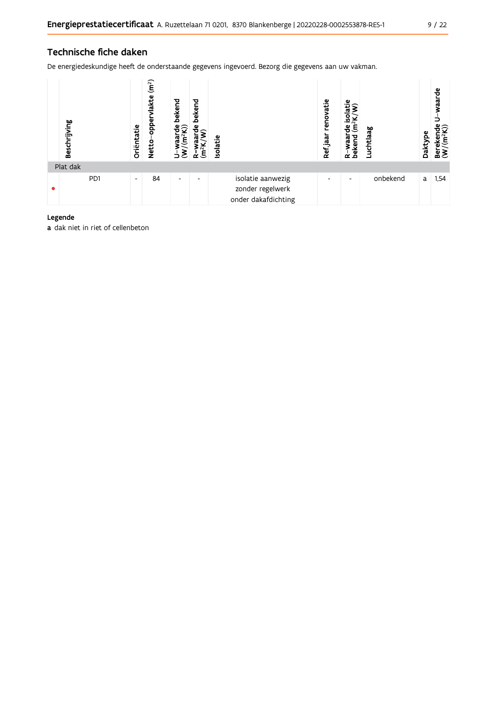### Technische fiche daken

De energiedeskundige heeft de onderstaande gegevens ingevoerd. Bezorg die gegevens aan uw vakman.

| Beschrijving     | Oriëntatie               | (m <sup>2</sup> )<br>lakte<br>opper<br><b>Netto</b> | bekend<br>$\frac{w \cdot mc}{(m^2K)}$<br>≶<br>∍ | bekend<br>ម្ភ <sub>ិ</sub><br>$(m^2K)$<br>≃ | Isolatie                                                     | renovatie<br>Ref <sub>jaar</sub> | isolatie<br>$(m^2K)$<br>႕မွ<br>waar<br>R-waai<br>bekend | Luchtlaag | Daktype | waarde<br>$\begin{array}{ll}\n\text{Berekende} \\ (W/(m^2K))\n\end{array}$ |
|------------------|--------------------------|-----------------------------------------------------|-------------------------------------------------|---------------------------------------------|--------------------------------------------------------------|----------------------------------|---------------------------------------------------------|-----------|---------|----------------------------------------------------------------------------|
| Plat dak         |                          |                                                     |                                                 |                                             |                                                              |                                  |                                                         |           |         |                                                                            |
| P <sub>D</sub> 1 | $\overline{\phantom{a}}$ | 84                                                  | $\overline{\phantom{a}}$                        | $\overline{\phantom{0}}$                    | isolatie aanwezig<br>zonder regelwerk<br>onder dakafdichting | -                                | ۰                                                       | onbekend  | a       | 1,54                                                                       |

### Legende

a dak niet in riet of cellenbeton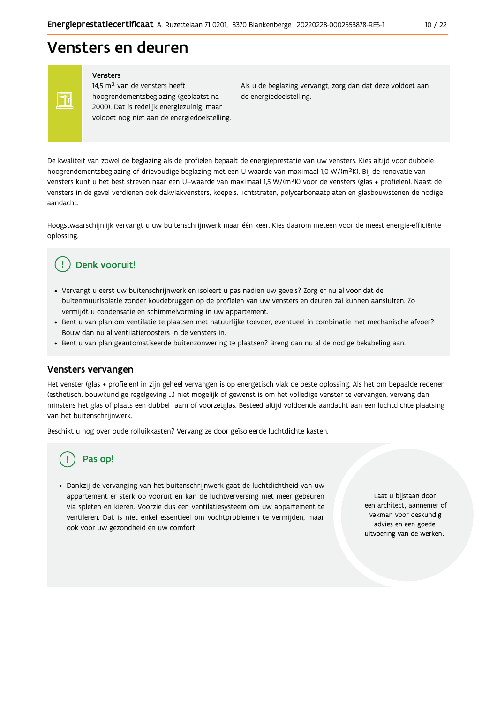## Vensters en deuren

Vensters

Ħ

14,5 m<sup>2</sup> van de vensters heeft hoogrendementsbeglazing (geplaatst na 2000). Dat is redelijk energiezuinig, maar voldoet nog niet aan de energiedoelstelling. Als u de beglazing vervangt, zorg dan dat deze voldoet aan de energiedoelstelling.

De kwaliteit van zowel de beglazing als de profielen bepaalt de energieprestatie van uw vensters. Kies altijd voor dubbele hoogrendementsbeglazing of drievoudige beglazing met een U-waarde van maximaal 1,0 W/(m<sup>2</sup>K). Bij de renovatie van vensters kunt u het best streven naar een U-waarde van maximaal 1,5 W/(m<sup>2</sup>K) voor de vensters (glas + profielen). Naast de vensters in de gevel verdienen ook dakvlakvensters, koepels, lichtstraten, polycarbonaatplaten en glasbouwstenen de nodige aandacht

Hoogstwaarschijnlijk vervangt u uw buitenschrijnwerk maar één keer. Kies daarom meteen voor de meest energie-efficiënte oplossing.

#### Denk vooruit! Ţ

- · Vervangt u eerst uw buitenschrijnwerk en isoleert u pas nadien uw gevels? Zorg er nu al voor dat de buitenmuurisolatie zonder koudebruggen op de profielen van uw vensters en deuren zal kunnen aansluiten. Zo vermijdt u condensatie en schimmelvorming in uw appartement.
- Bent u van plan om ventilatie te plaatsen met natuurlijke toevoer, eventueel in combinatie met mechanische afvoer? Bouw dan nu al ventilatieroosters in de vensters in.
- · Bent u van plan geautomatiseerde buitenzonwering te plaatsen? Breng dan nu al de nodige bekabeling aan.

### Vensters vervangen

Het venster (glas + profielen) in zijn geheel vervangen is op energetisch vlak de beste oplossing. Als het om bepaalde redenen (esthetisch, bouwkundige regelgeving ...) niet mogelijk of gewenst is om het volledige venster te vervangen, vervang dan minstens het glas of plaats een dubbel raam of voorzetglas. Besteed altijd voldoende aandacht aan een luchtdichte plaatsing van het buitenschrijnwerk.

Beschikt u nog over oude rolluikkasten? Vervang ze door geïsoleerde luchtdichte kasten.

### Pas op!

· Dankzij de vervanging van het buitenschrijnwerk gaat de luchtdichtheid van uw appartement er sterk op vooruit en kan de luchtverversing niet meer gebeuren via spleten en kieren. Voorzie dus een ventilatiesysteem om uw appartement te ventileren. Dat is niet enkel essentieel om vochtproblemen te vermijden, maar ook voor uw gezondheid en uw comfort.

Laat u bijstaan door een architect, aannemer of vakman voor deskundig advies en een goede uitvoering van de werken.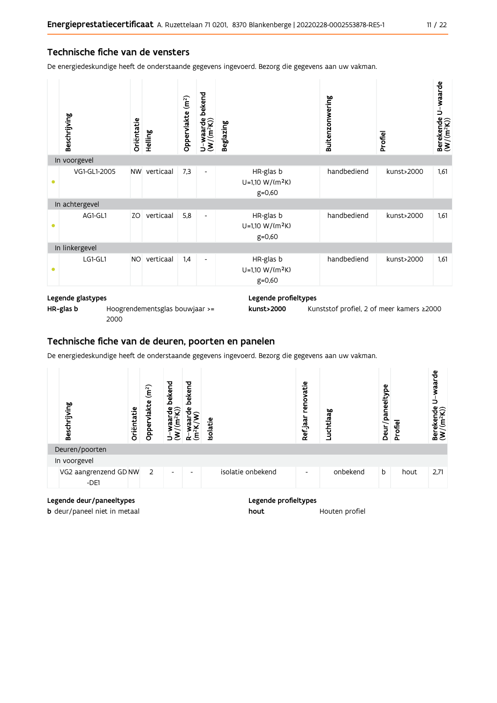### Technische fiche van de vensters

De energiedeskundige heeft de onderstaande gegevens ingevoerd. Bezorg die gegevens aan uw vakman.

|   | Beschrijving   | Oriëntatie | Helling   | Oppervlakte (m <sup>2</sup> ) | bekend<br>$U$ –waarde l $(W/(m^2K))$ | <b>Beglazing</b>                                       | Buitenzonwering | Profiel    | Berekende U-waarde<br>(W/(m <sup>2</sup> K)) |
|---|----------------|------------|-----------|-------------------------------|--------------------------------------|--------------------------------------------------------|-----------------|------------|----------------------------------------------|
|   | In voorgevel   |            |           |                               |                                      |                                                        |                 |            |                                              |
| ٠ | VG1-GL1-2005   | <b>NW</b>  | verticaal | 7,3                           | $\overline{\phantom{a}}$             | HR-glas b<br>U=1,10 W/(m <sup>2</sup> K)<br>$g = 0,60$ | handbediend     | kunst>2000 | 1,61                                         |
|   | In achtergevel |            |           |                               |                                      |                                                        |                 |            |                                              |
|   | AG1-GL1        | ZO         | verticaal | 5,8                           | $\overline{\phantom{a}}$             | HR-glas b<br>U=1,10 W/(m <sup>2</sup> K)<br>$g = 0,60$ | handbediend     | kunst>2000 | 1,61                                         |
|   | In linkergevel |            |           |                               |                                      |                                                        |                 |            |                                              |
|   | LG1-GL1        | <b>NO</b>  | verticaal | 1,4                           | $\overline{\phantom{a}}$             | HR-glas b<br>U=1,10 W/(m <sup>2</sup> K)<br>$g = 0,60$ | handbediend     | kunst>2000 | 1,61                                         |

### Legende glastypes

HR-glas b

Hoogrendementsglas bouwjaar >= 2000

#### Legende profieltypes

kunst>2000 Kunststof profiel, 2 of meer kamers ≥2000

# Technische fiche van de deuren, poorten en panelen

De energiedeskundige heeft de onderstaande gegevens ingevoerd. Bezorg die gegevens aan uw vakman.

| Beschrijving                    | Oriëntatie | (m <sup>2</sup> )<br>vlakte<br>Opper | bekend<br>ืืืืื<br>ಡ<br>ε | bekend<br>မို<br>$\tilde{\mathsf{E}}$<br>α. | <b>Isolatie</b> |                   | enovatie<br>Ref jaar | Luchtlaag | Deur/paneeltype | Profiel | waarde<br>∽<br>Berekende<br>$(W/(m^2K))$ |
|---------------------------------|------------|--------------------------------------|---------------------------|---------------------------------------------|-----------------|-------------------|----------------------|-----------|-----------------|---------|------------------------------------------|
| Deuren/poorten                  |            |                                      |                           |                                             |                 |                   |                      |           |                 |         |                                          |
| In voorgevel                    |            |                                      |                           |                                             |                 |                   |                      |           |                 |         |                                          |
| VG2 aangrenzend GD NW<br>$-DE1$ |            | 2                                    | $\overline{\phantom{a}}$  | ٠                                           |                 | isolatie onbekend | -                    | onbekend  | b               | hout    | 2,71                                     |

### Legende deur/paneeltypes

b deur/paneel niet in metaal

#### Legende profieltypes

hout Houten profiel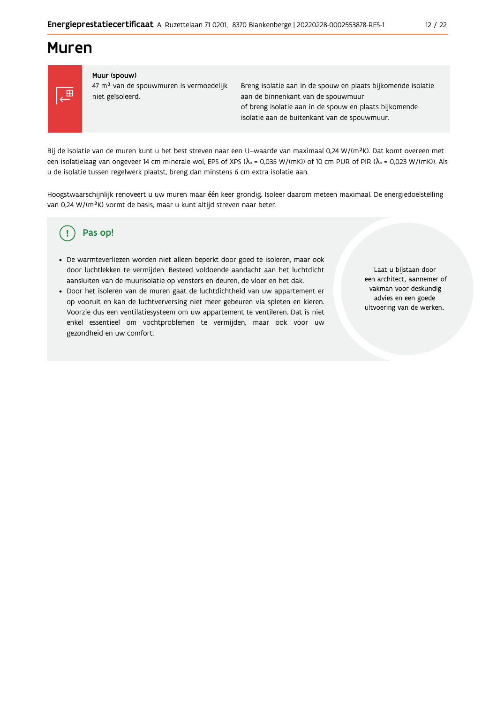### **Muren**



### Muur (spouw)

47 m<sup>2</sup> van de spouwmuren is vermoedelijk niet geïsoleerd.

Breng isolatie aan in de spouw en plaats bijkomende isolatie aan de binnenkant van de spouwmuur of breng isolatie aan in de spouw en plaats bijkomende isolatie aan de buitenkant van de spouwmuur.

Bij de isolatie van de muren kunt u het best streven naar een U-waarde van maximaal 0,24 W/(m<sup>2</sup>K). Dat komt overeen met een isolatielaag van ongeveer 14 cm minerale wol, EPS of XPS ( $\lambda_a$  = 0,035 W/(mK)) of 10 cm PUR of PIR ( $\lambda_a$  = 0,023 W/(mK)). Als u de isolatie tussen regelwerk plaatst, breng dan minstens 6 cm extra isolatie aan.

Hoogstwaarschijnlijk renoveert u uw muren maar één keer grondig. Isoleer daarom meteen maximaal. De energiedoelstelling van 0,24 W/(m<sup>2</sup>K) vormt de basis, maar u kunt altijd streven naar beter.

#### Pas op! Ţ

- · De warmteverliezen worden niet alleen beperkt door goed te isoleren, maar ook door luchtlekken te vermijden. Besteed voldoende aandacht aan het luchtdicht aansluiten van de muurisolatie op vensters en deuren, de vloer en het dak.
- · Door het isoleren van de muren gaat de luchtdichtheid van uw appartement er op vooruit en kan de luchtverversing niet meer gebeuren via spleten en kieren. Voorzie dus een ventilatiesysteem om uw appartement te ventileren. Dat is niet enkel essentieel om vochtproblemen te vermijden, maar ook voor uw gezondheid en uw comfort.

Laat u bijstaan door een architect, aannemer of vakman voor deskundig advies en een goede uitvoering van de werken.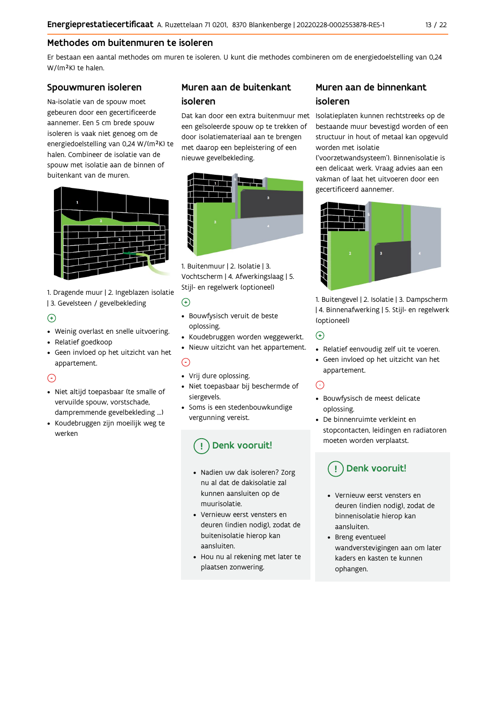### Methodes om buitenmuren te isoleren

Er bestaan een aantal methodes om muren te isoleren. U kunt die methodes combineren om de energiedoelstelling van 0,24 W/(m<sup>2</sup>K) te halen.

### Spouwmuren isoleren

Na-isolatie van de spouw moet gebeuren door een gecertificeerde aannemer. Een 5 cm brede spouw isoleren is vaak niet genoeg om de energiedoelstelling van 0,24 W/(m<sup>2</sup>K) te halen. Combineer de isolatie van de spouw met isolatie aan de binnen of buitenkant van de muren.



1. Dragende muur | 2. Ingeblazen isolatie | 3. Gevelsteen / gevelbekleding

### $\bigoplus$

- Weinig overlast en snelle uitvoering.
- Relatief goedkoop
- Geen invloed op het uitzicht van het appartement.

### $\odot$

- · Niet altijd toepasbaar (te smalle of vervuilde spouw, vorstschade, dampremmende gevelbekleding ...)
- Koudebruggen zijn moeilijk weg te werken

### Muren aan de buitenkant isoleren

een geïsoleerde spouw op te trekken of door isolatiemateriaal aan te brengen met daarop een bepleistering of een nieuwe gevelbekleding.



1. Buitenmuur | 2. Isolatie | 3. Vochtscherm | 4. Afwerkingslaag | 5. Stijl- en regelwerk (optioneel)

### $\odot$

- · Bouwfysisch veruit de beste oplossing.
- Koudebruggen worden weggewerkt.
- · Nieuw uitzicht van het appartement.

### $\odot$

- Vrij dure oplossing.
- · Niet toepasbaar bij beschermde of siergevels.
- Soms is een stedenbouwkundige vergunning vereist.

### Denk vooruit!

- · Nadien uw dak isoleren? Zorg nu al dat de dakisolatie zal kunnen aansluiten op de muurisolatie
- Vernieuw eerst vensters en deuren (indien nodig), zodat de buitenisolatie hierop kan aansluiten.
- Hou nu al rekening met later te plaatsen zonwering.

### Muren aan de binnenkant isoleren

Dat kan door een extra buitenmuur met Isolatieplaten kunnen rechtstreeks op de bestaande muur bevestigd worden of een structuur in hout of metaal kan opgevuld worden met isolatie

('voorzetwandsysteem'). Binnenisolatie is een delicaat werk. Vraag advies aan een vakman of laat het uitvoeren door een gecertificeerd aannemer.



1. Buitengevel | 2. Isolatie | 3. Dampscherm | 4. Binnenafwerking | 5. Stijl- en regelwerk (optioneel)

 $\odot$ 

- Relatief eenvoudig zelf uit te voeren.
- Geen invloed op het uitzicht van het appartement.

### $\odot$

- · Bouwfysisch de meest delicate oplossing.
- De binnenruimte verkleint en stopcontacten, leidingen en radiatoren moeten worden verplaatst.

### Denk vooruit!

- Vernieuw eerst vensters en deuren (indien nodig), zodat de binnenisolatie hierop kan aansluiten.
- Breng eventueel wandverstevigingen aan om later kaders en kasten te kunnen ophangen.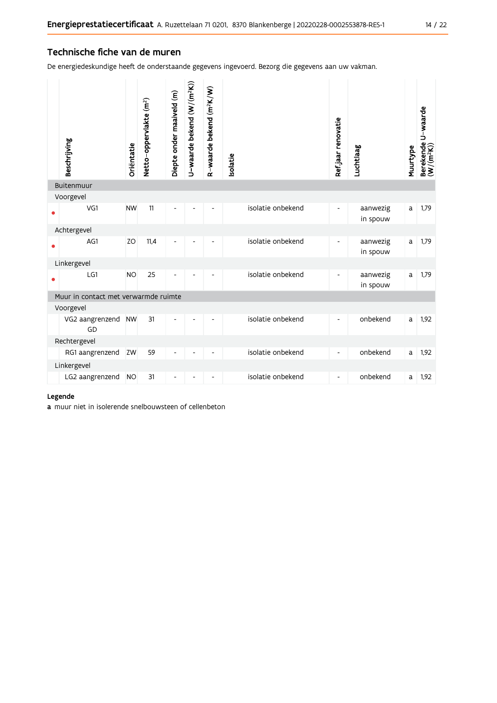### Technische fiche van de muren

De energiedeskundige heeft de onderstaande gegevens ingevoerd. Bezorg die gegevens aan uw vakman.

|           | Beschrijving                         | Oriëntatie | Netto-oppervlakte (m <sup>2</sup> ) | Diepte onder maaiveld (m) | J-waarde bekend (W/(m <sup>2</sup> K)) | R-waarde bekend (m <sup>2</sup> K/W) | solatie           | Refjaar renovatie        | Luchtlaag            | Muurtype | Berekende U-waarde<br>(W/(m <sup>2</sup> K)) |
|-----------|--------------------------------------|------------|-------------------------------------|---------------------------|----------------------------------------|--------------------------------------|-------------------|--------------------------|----------------------|----------|----------------------------------------------|
|           | Buitenmuur                           |            |                                     |                           |                                        |                                      |                   |                          |                      |          |                                              |
| $\bullet$ | Voorgevel<br>VG1                     | <b>NW</b>  | 11                                  | $\overline{a}$            |                                        |                                      | isolatie onbekend | $\overline{\phantom{a}}$ | aanwezig<br>in spouw | a        | 1,79                                         |
|           | Achtergevel                          |            |                                     |                           |                                        |                                      |                   |                          |                      |          |                                              |
| $\bullet$ | AG1                                  | ZO         | 11,4                                | $\overline{a}$            |                                        |                                      | isolatie onbekend | $\blacksquare$           | aanwezig<br>in spouw | a        | 1,79                                         |
|           | Linkergevel                          |            |                                     |                           |                                        |                                      |                   |                          |                      |          |                                              |
| $\bullet$ | LG1                                  | <b>NO</b>  | 25                                  |                           |                                        |                                      | isolatie onbekend | $\blacksquare$           | aanwezig<br>in spouw | a        | 1,79                                         |
|           | Muur in contact met verwarmde ruimte |            |                                     |                           |                                        |                                      |                   |                          |                      |          |                                              |
|           | Voorgevel                            |            |                                     |                           |                                        |                                      |                   |                          |                      |          |                                              |
|           | VG2 aangrenzend<br>GD                | <b>NW</b>  | 31                                  | Ĭ.                        |                                        | ۰                                    | isolatie onbekend | $\overline{\phantom{a}}$ | onbekend             | a        | 1,92                                         |
|           | Rechtergevel                         |            |                                     |                           |                                        |                                      |                   |                          |                      |          |                                              |
|           | RG1 aangrenzend                      | ZW         | 59                                  | $\overline{a}$            |                                        |                                      | isolatie onbekend | $\overline{\phantom{a}}$ | onbekend             | a        | 1,92                                         |
|           | Linkergevel                          |            |                                     |                           |                                        |                                      |                   |                          |                      |          |                                              |
|           | LG2 aangrenzend                      | <b>NO</b>  | 31                                  | $\frac{1}{2}$             |                                        | $\overline{\phantom{m}}$             | isolatie onbekend | $\overline{\phantom{a}}$ | onbekend             | a        | 1,92                                         |

### Legende

a muur niet in isolerende snelbouwsteen of cellenbeton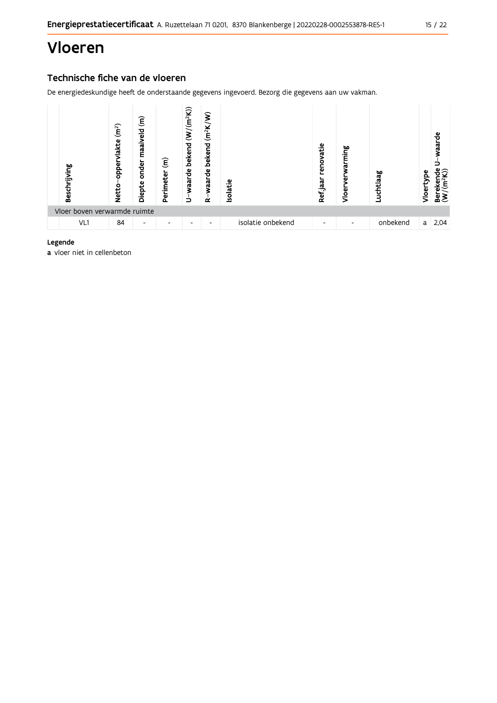# Vloeren

### Technische fiche van de vloeren

De energiedeskundige heeft de onderstaande gegevens ingevoerd. Bezorg die gegevens aan uw vakman.



### Legende

a vloer niet in cellenbeton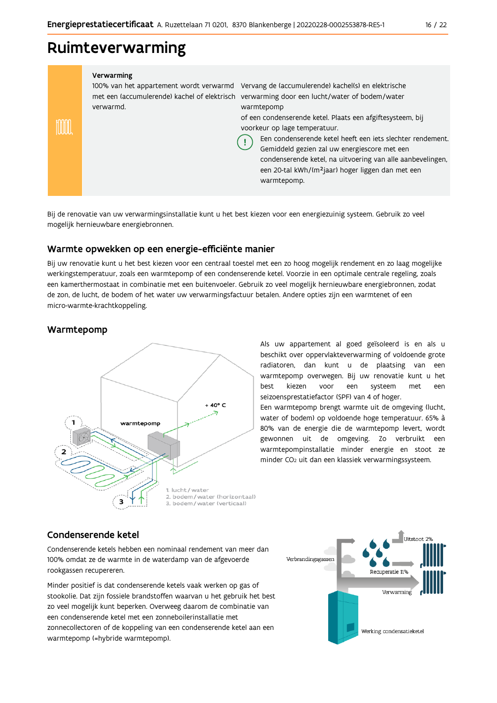### Ruimteverwarming

#### Verwarming

verwarmd.

100% van het appartement wordt verwarmd Vervang de (accumulerende) kachel(s) en elektrische met een (accumulerende) kachel of elektrisch verwarming door een lucht/water of bodem/water warmtepomp

> of een condenserende ketel. Plaats een afgiftesysteem, bij voorkeur op lage temperatuur.

Een condenserende ketel heeft een jets slechter rendement. Gemiddeld gezien zal uw energiescore met een condenserende ketel, na uitvoering van alle aanbevelingen, een 20-tal kWh/(m<sup>2</sup>jaar) hoger liggen dan met een warmtepomp.

Bij de renovatie van uw verwarmingsinstallatie kunt u het best kiezen voor een energiezuinig systeem. Gebruik zo veel mogelijk hernieuwbare energiebronnen.

Ţ

### Warmte opwekken op een energie-efficiënte manier

Bij uw renovatie kunt u het best kiezen voor een centraal toestel met een zo hoog mogelijk rendement en zo laag mogelijke werkingstemperatuur, zoals een warmtepomp of een condenserende ketel. Voorzie in een optimale centrale regeling, zoals een kamerthermostaat in combinatie met een buitenvoeler. Gebruik zo veel mogelijk hernieuwbare energiebronnen, zodat de zon, de lucht, de bodem of het water uw verwarmingsfactuur betalen. Andere opties zijn een warmtenet of een micro-warmte-krachtkoppeling.

### Warmtepomp

imm



Als uw appartement al goed geïsoleerd is en als u beschikt over oppervlakteverwarming of voldoende grote radiatoren, dan kunt u de plaatsing van een warmtepomp overwegen. Bij uw renovatie kunt u het best kiezen voor een systeem met een seizoensprestatiefactor (SPF) van 4 of hoger.

Een warmtepomp brengt warmte uit de omgeving (lucht, water of bodem) op voldoende hoge temperatuur. 65% à 80% van de energie die de warmtepomp levert, wordt gewonnen uit de omgeving. Zo verbruikt een warmtepompinstallatie minder energie en stoot ze minder CO<sub>2</sub> uit dan een klassiek verwarmingssysteem.

### Condenserende ketel

Condenserende ketels hebben een nominaal rendement van meer dan 100% omdat ze de warmte in de waterdamp van de afgevoerde rookgassen recupereren.

Minder positief is dat condenserende ketels vaak werken op gas of stookolie. Dat zijn fossiele brandstoffen waarvan u het gebruik het best zo veel mogelijk kunt beperken. Overweeg daarom de combinatie van een condenserende ketel met een zonneboilerinstallatie met zonnecollectoren of de koppeling van een condenserende ketel aan een warmtepomp (=hybride warmtepomp).

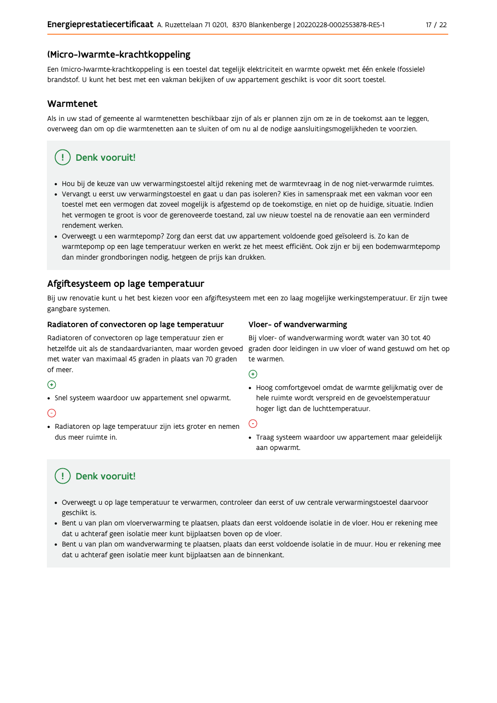### (Micro-)warmte-krachtkoppeling

Een (micro-)warmte-krachtkoppeling is een toestel dat tegelijk elektriciteit en warmte opwekt met één enkele (fossiele) brandstof. U kunt het best met een vakman bekijken of uw appartement geschikt is voor dit soort toestel.

### Warmtenet

Als in uw stad of gemeente al warmtenetten beschikbaar zijn of als er plannen zijn om ze in de toekomst aan te leggen, overweeg dan om op die warmtenetten aan te sluiten of om nu al de nodige aansluitingsmogelijkheden te voorzien.

### Denk vooruit!

- · Hou bij de keuze van uw verwarmingstoestel altijd rekening met de warmtevraag in de nog niet-verwarmde ruimtes.
- Vervangt u eerst uw verwarmingstoestel en gaat u dan pas isoleren? Kies in samenspraak met een vakman voor een toestel met een vermogen dat zoveel mogelijk is afgestemd op de toekomstige, en niet op de huidige, situatie. Indien het vermogen te groot is voor de gerenoveerde toestand, zal uw nieuw toestel na de renovatie aan een verminderd rendement werken.
- · Overweegt u een warmtepomp? Zorg dan eerst dat uw appartement voldoende goed geïsoleerd is. Zo kan de warmtepomp op een lage temperatuur werken en werkt ze het meest efficiënt. Ook zijn er bij een bodemwarmtepomp dan minder grondboringen nodig, hetgeen de prijs kan drukken.

### Afgiftesysteem op lage temperatuur

Bij uw renovatie kunt u het best kiezen voor een afgiftesysteem met een zo laag mogelijke werkingstemperatuur. Er zijn twee gangbare systemen.

### Radiatoren of convectoren op lage temperatuur

Radiatoren of convectoren op lage temperatuur zien er hetzelfde uit als de standaardvarianten, maar worden gevoed met water van maximaal 45 graden in plaats van 70 graden of meer.

### $\bigoplus$

• Snel systeem waardoor uw appartement snel opwarmt.

### $\bigodot$

· Radiatoren op lage temperatuur zijn iets groter en nemen dus meer ruimte in.

### Vloer- of wandverwarming

Bij vloer- of wandverwarming wordt water van 30 tot 40 graden door leidingen in uw vloer of wand gestuwd om het op te warmen.

### $\bigoplus$

· Hoog comfortgevoel omdat de warmte gelijkmatig over de hele ruimte wordt verspreid en de gevoelstemperatuur hoger ligt dan de luchttemperatuur.

#### ∈

· Traag systeem waardoor uw appartement maar geleidelijk aan opwarmt.

### Denk vooruit!

- · Overweegt u op lage temperatuur te verwarmen, controleer dan eerst of uw centrale verwarmingstoestel daarvoor geschikt is.
- · Bent u van plan om vloerverwarming te plaatsen, plaats dan eerst voldoende isolatie in de vloer. Hou er rekening mee dat u achteraf geen isolatie meer kunt bijplaatsen boven op de vloer.
- · Bent u van plan om wandverwarming te plaatsen, plaats dan eerst voldoende isolatie in de muur. Hou er rekening mee dat u achteraf geen isolatie meer kunt bijplaatsen aan de binnenkant.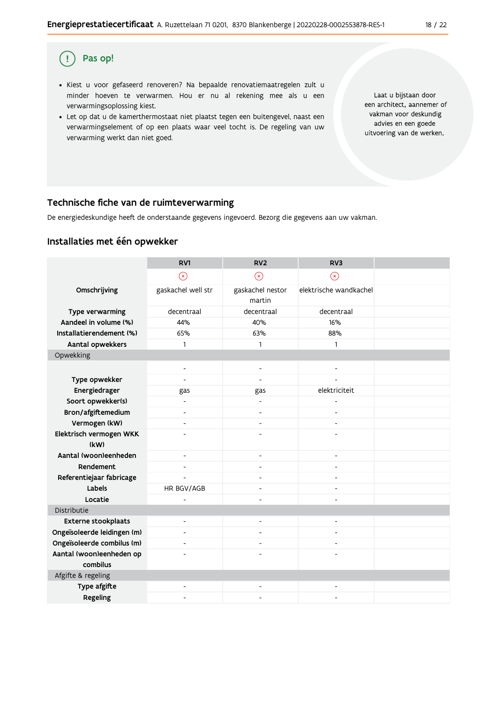#### Pas op!  $\left( \begin{array}{c} 1 \end{array} \right)$

- · Kiest u voor gefaseerd renoveren? Na bepaalde renovatiemaatregelen zult u minder hoeven te verwarmen. Hou er nu al rekening mee als u een verwarmingsoplossing kiest.
- . Let op dat u de kamerthermostaat niet plaatst tegen een buitengevel, naast een verwarmingselement of op een plaats waar veel tocht is. De regeling van uw verwarming werkt dan niet goed.

Laat u bijstaan door een architect, aannemer of vakman voor deskundig advies en een goede uitvoering van de werken.

### Technische fiche van de ruimteverwarming

De energiedeskundige heeft de onderstaande gegevens ingevoerd. Bezorg die gegevens aan uw vakman.

### Installaties met één opwekker

|                             | RV1                      | RV <sub>2</sub>          | RV <sub>3</sub>          |  |
|-----------------------------|--------------------------|--------------------------|--------------------------|--|
|                             | $\circledast$            | $\odot$                  | $\circledR$              |  |
| Omschrijving                | gaskachel well str       | gaskachel nestor         | elektrische wandkachel   |  |
|                             |                          | martin                   |                          |  |
| Type verwarming             | decentraal               | decentraal               | decentraal               |  |
| Aandeel in volume (%)       | 44%                      | 40%                      | 16%                      |  |
| Installatierendement (%)    | 65%                      | 63%                      | 88%                      |  |
| Aantal opwekkers            | 1                        | 1                        | $\mathbf{1}$             |  |
| Opwekking                   |                          |                          |                          |  |
|                             |                          |                          |                          |  |
| Type opwekker               | $\overline{a}$           | $\overline{a}$           |                          |  |
| Energiedrager               | gas                      | gas                      | elektriciteit            |  |
| Soort opwekker(s)           |                          |                          |                          |  |
| Bron/afgiftemedium          | $\overline{\phantom{0}}$ | $\overline{\phantom{a}}$ |                          |  |
| Vermogen (kW)               | ٠                        | $\blacksquare$           | ٠                        |  |
| Elektrisch vermogen WKK     |                          |                          |                          |  |
| (kW)                        |                          |                          |                          |  |
| Aantal (woon)eenheden       | ٠                        | $\blacksquare$           | $\blacksquare$           |  |
| Rendement                   | ٠                        | $\blacksquare$           | $\overline{\phantom{a}}$ |  |
| Referentiejaar fabricage    | $\overline{a}$           | $\blacksquare$           | $\overline{a}$           |  |
| Labels                      | HR BGV/AGB               |                          |                          |  |
| Locatie                     | L,                       | ÷,                       | $\overline{a}$           |  |
| Distributie                 |                          |                          |                          |  |
| <b>Externe stookplaats</b>  | $\overline{a}$           | $\blacksquare$           | ٠                        |  |
| Ongeïsoleerde leidingen (m) | $\overline{a}$           | $\overline{a}$           | $\overline{a}$           |  |
| Ongeïsoleerde combilus (m)  | $\overline{a}$           |                          |                          |  |
| Aantal (woon)eenheden op    |                          |                          |                          |  |
| combilus                    |                          |                          |                          |  |
| Afgifte & regeling          |                          |                          |                          |  |
| Type afgifte                |                          |                          |                          |  |
| Regeling                    |                          |                          |                          |  |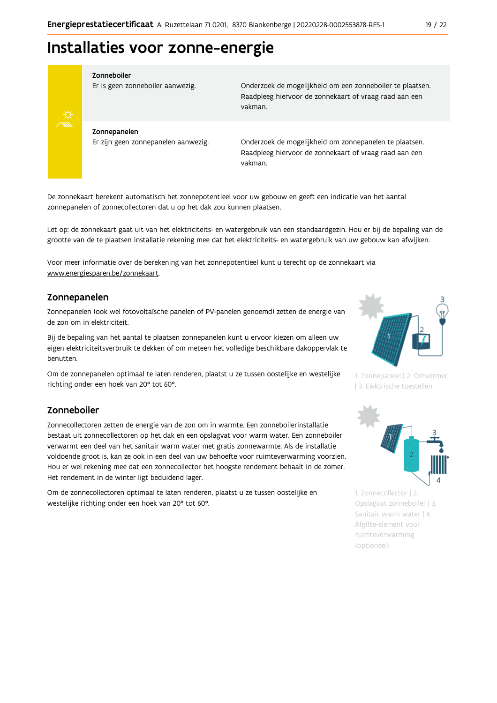# Installaties voor zonne-energie



#### Zonneboiler

Er is geen zonneboiler aanwezig.

Onderzoek de mogelijkheid om een zonneboiler te plaatsen. Raadpleeg hiervoor de zonnekaart of vraag raad aan een vakman.

Zonnepanelen Er zijn geen zonnepanelen aanwezig.

Onderzoek de mogelijkheid om zonnepanelen te plaatsen. Raadpleeg hiervoor de zonnekaart of vraag raad aan een vakman.

De zonnekaart berekent automatisch het zonnepotentieel voor uw gebouw en geeft een indicatie van het aantal zonnepanelen of zonnecollectoren dat u op het dak zou kunnen plaatsen.

Let op: de zonnekaart gaat uit van het elektriciteits- en watergebruik van een standaardgezin. Hou er bij de bepaling van de grootte van de te plaatsen installatie rekening mee dat het elektriciteits- en watergebruik van uw gebouw kan afwijken.

Voor meer informatie over de berekening van het zonnepotentieel kunt u terecht op de zonnekaart via www.energiesparen.be/zonnekaart.

### Zonnepanelen

Zonnepanelen (ook wel fotovoltaïsche panelen of PV-panelen genoemd) zetten de energie van de zon om in elektriciteit.

Bij de bepaling van het aantal te plaatsen zonnepanelen kunt u ervoor kiezen om alleen uw eigen elektriciteitsverbruik te dekken of om meteen het volledige beschikbare dakoppervlak te benutten.

Om de zonnepanelen optimaal te laten renderen, plaatst u ze tussen oostelijke en westelijke richting onder een hoek van 20° tot 60°.

### Zonneboiler

Zonnecollectoren zetten de energie van de zon om in warmte. Een zonneboilerinstallatie bestaat uit zonnecollectoren op het dak en een opslagvat voor warm water. Een zonneboiler verwarmt een deel van het sanitair warm water met gratis zonnewarmte. Als de installatie voldoende groot is, kan ze ook in een deel van uw behoefte voor ruimteverwarming voorzien. Hou er wel rekening mee dat een zonnecollector het hoogste rendement behaalt in de zomer. Het rendement in de winter ligt beduidend lager.

Om de zonnecollectoren optimaal te laten renderen, plaatst u ze tussen oostelijke en westelijke richting onder een hoek van 20° tot 60°.



1. Zonnepaneel | 2. Omvormer | 3. Elektrische toestellen



1. Zonnecollector | 2. Opslagvat zonneboiler | 3. Sanitair warm water | 4. Afgifte-element voor ruimteverwarming (optioneel)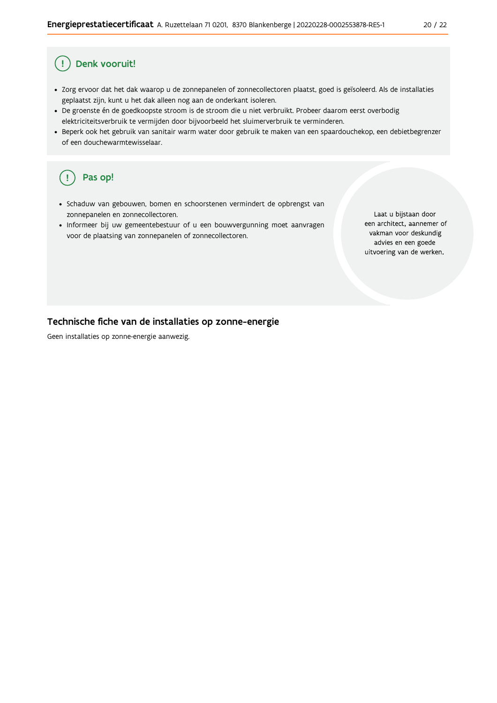#### Ţ Denk vooruit!

- · Zorg ervoor dat het dak waarop u de zonnepanelen of zonnecollectoren plaatst, goed is geïsoleerd. Als de installaties geplaatst zijn, kunt u het dak alleen nog aan de onderkant isoleren.
- · De groenste én de goedkoopste stroom is de stroom die u niet verbruikt. Probeer daarom eerst overbodig elektriciteitsverbruik te vermijden door bijvoorbeeld het sluimerverbruik te verminderen.
- · Beperk ook het gebruik van sanitair warm water door gebruik te maken van een spaardouchekop, een debietbegrenzer of een douchewarmtewisselaar.

#### Pas op!  $\left(\right.$   $\right.$

- · Schaduw van gebouwen, bomen en schoorstenen vermindert de opbrengst van zonnepanelen en zonnecollectoren.
- Informeer bij uw gemeentebestuur of u een bouwvergunning moet aanvragen voor de plaatsing van zonnepanelen of zonnecollectoren.

Laat u bijstaan door een architect, aannemer of vakman voor deskundig advies en een goede uitvoering van de werken.

### Technische fiche van de installaties op zonne-energie

Geen installaties op zonne-energie aanwezig.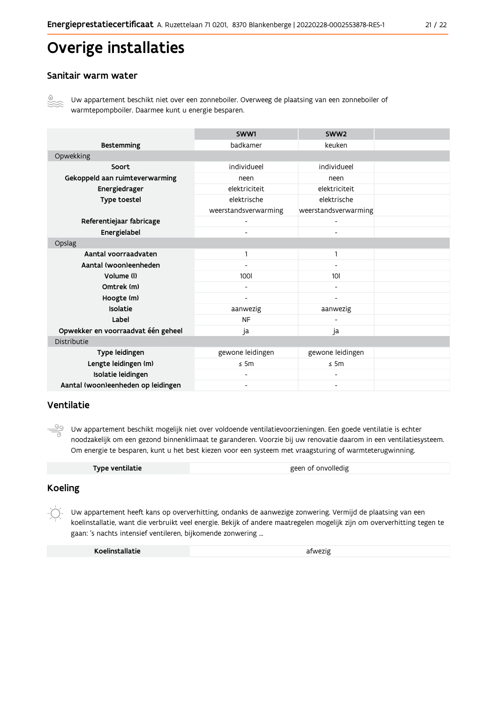# Overige installaties

### Sanitair warm water



Uw appartement beschikt niet over een zonneboiler. Overweeg de plaatsing van een zonneboiler of warmtepompboiler. Daarmee kunt u energie besparen.

|                                    | SWW1                         | SWW <sub>2</sub>             |  |
|------------------------------------|------------------------------|------------------------------|--|
| <b>Bestemming</b>                  | badkamer                     | keuken                       |  |
| Opwekking                          |                              |                              |  |
| Soort                              | individueel                  | individueel                  |  |
| Gekoppeld aan ruimteverwarming     | neen                         | neen                         |  |
| Energiedrager                      | elektriciteit                | elektriciteit                |  |
| Type toestel                       | elektrische                  | elektrische                  |  |
|                                    | weerstandsverwarming         | weerstandsverwarming         |  |
| Referentiejaar fabricage           | $\overline{\phantom{0}}$     |                              |  |
| Energielabel                       |                              |                              |  |
| Opslag                             |                              |                              |  |
| Aantal voorraadvaten               | 1                            | 1                            |  |
| Aantal (woon)eenheden              | -                            | -                            |  |
| Volume (I)                         | 100                          | 10 <sup>1</sup>              |  |
| Omtrek (m)                         |                              |                              |  |
| Hoogte (m)                         |                              |                              |  |
| Isolatie                           | aanwezig                     | aanwezig                     |  |
| Label                              | <b>NF</b>                    |                              |  |
| Opwekker en voorraadvat één geheel | ja                           | ja                           |  |
| Distributie                        |                              |                              |  |
| Type leidingen                     | gewone leidingen             | gewone leidingen             |  |
| Lengte leidingen (m)               | $\leq$ 5m                    | $\leq$ 5m                    |  |
| Isolatie leidingen                 | $\qquad \qquad \blacksquare$ |                              |  |
| Aantal (woon)eenheden op leidingen | $\overline{\phantom{a}}$     | $\qquad \qquad \blacksquare$ |  |

### Ventilatie

 $\frac{\circledcirc}{\circ}$ Uw appartement beschikt mogelijk niet over voldoende ventilatievoorzieningen. Een goede ventilatie is echter noodzakelijk om een gezond binnenklimaat te garanderen. Voorzie bij uw renovatie daarom in een ventilatiesysteem. Om energie te besparen, kunt u het best kiezen voor een systeem met vraagsturing of warmteterugwinning.

| Type ventilatie | geen of onvolledig |
|-----------------|--------------------|
|                 |                    |

### **Koeling**

Uw appartement heeft kans op oververhitting, ondanks de aanwezige zonwering. Vermijd de plaatsing van een koelinstallatie, want die verbruikt veel energie. Bekijk of andere maatregelen mogelijk zijn om oververhitting tegen te gaan: 's nachts intensief ventileren, bijkomende zonwering ...